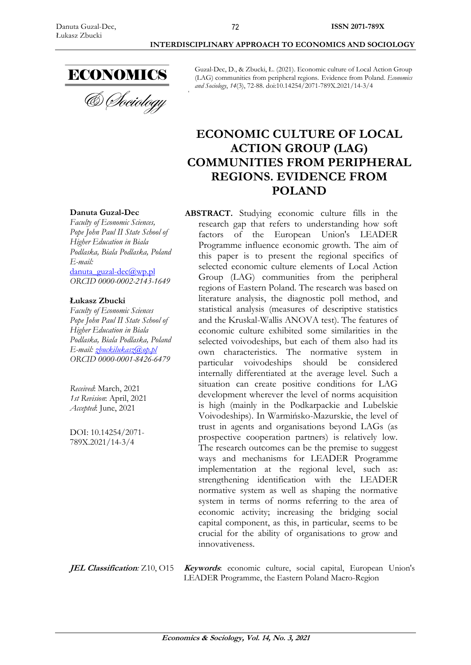

**Danuta Guzal-Dec** *Faculty of Economic Sciences, Pope John Paul II State School of Higher Education in Biala* 

danuta\_guzal-dec@wp.pl *ORCID 0000-0002-2143-1649*

*Faculty of Economic Sciences Pope John Paul II State School of Higher Education in Biala* 

*E-mail: [zbuckilukasz@op.pl](mailto:zbuckilukasz@op.pl) ORCID 0000-0001-8426-6479*

*Received*: March, 2021 *1st Revision*: April, 2021 *Accepted*: June, 2021

DOI: 10.14254/2071- 789X.2021/14-3/4

**Łukasz Zbucki**

*E-mail:*

& Sociology

Guzal-Dec, D., & Zbucki, Ł. (2021). Economic culture of Local Action Group (LAG) communities from peripheral regions. Evidence from Poland. *Economics and Sociology*, *14*(3), 72-88. doi:10.14254/2071-789X.2021/14-3/4

# **ECONOMIC CULTURE OF LOCAL ACTION GROUP (LAG) COMMUNITIES FROM PERIPHERAL REGIONS. EVIDENCE FROM POLAND**

**ABSTRACT.** Studying economic culture fills in the

## *Podlaska, Biala Podlaska, Poland Podlaska, Biala Podlaska, Poland* research gap that refers to understanding how soft factors of the European Union's LEADER Programme influence economic growth. The aim of this paper is to present the regional specifics of selected economic culture elements of Local Action Group (LAG) communities from the peripheral regions of Eastern Poland. The research was based on literature analysis, the diagnostic poll method, and statistical analysis (measures of descriptive statistics and the Kruskal-Wallis ANOVA test). The features of economic culture exhibited some similarities in the selected voivodeships, but each of them also had its own characteristics. The normative system in particular voivodeships should be considered internally differentiated at the average level. Such a situation can create positive conditions for LAG development wherever the level of norms acquisition is high (mainly in the Podkarpackie and Lubelskie Voivodeships). In Warmińsko-Mazurskie, the level of trust in agents and organisations beyond LAGs (as prospective cooperation partners) is relatively low. The research outcomes can be the premise to suggest ways and mechanisms for LEADER Programme implementation at the regional level, such as: strengthening identification with the LEADER normative system as well as shaping the normative system in terms of norms referring to the area of economic activity; increasing the bridging social capital component, as this, in particular, seems to be

**JEL Classification***:* Z10, O15 **Keywords**: economic culture, social capital, European Union's LEADER Programme, the Eastern Poland Macro-Region

crucial for the ability of organisations to grow and

innovativeness.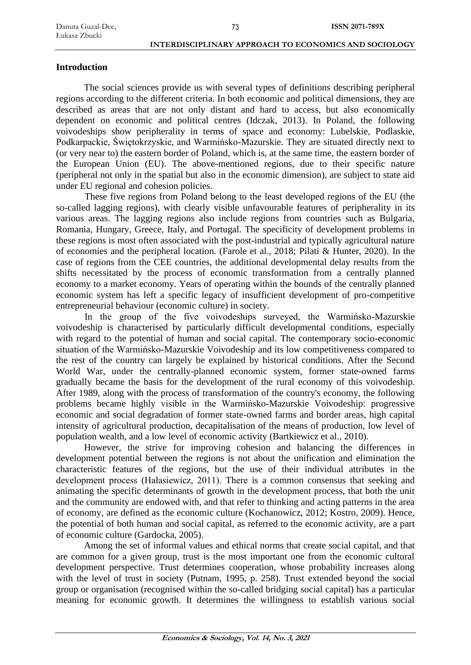# **Introduction**

The social sciences provide us with several types of definitions describing peripheral regions according to the different criteria. In both economic and political dimensions, they are described as areas that are not only distant and hard to access, but also economically dependent on economic and political centres (Idczak, 2013). In Poland, the following voivodeships show peripherality in terms of space and economy: Lubelskie, Podlaskie, Podkarpackie, Świętokrzyskie, and Warmińsko-Mazurskie. They are situated directly next to (or very near to) the eastern border of Poland, which is, at the same time, the eastern border of the European Union (EU). The above-mentioned regions, due to their specific nature (peripheral not only in the spatial but also in the economic dimension), are subject to state aid under EU regional and cohesion policies.

These five regions from Poland belong to the least developed regions of the EU (the so-called lagging regions), with clearly visible unfavourable features of peripherality in its various areas. The lagging regions also include regions from countries such as Bulgaria, Romania, Hungary, Greece, Italy, and Portugal. The specificity of development problems in these regions is most often associated with the post-industrial and typically agricultural nature of economies and the peripheral location. (Farole et al., 2018; Pilati & Hunter, 2020). In the case of regions from the CEE countries, the additional developmental delay results from the shifts necessitated by the process of economic transformation from a centrally planned economy to a market economy. Years of operating within the bounds of the centrally planned economic system has left a specific legacy of insufficient development of pro-competitive entrepreneurial behaviour (economic culture) in society.

In the group of the five voivodeships surveyed, the Warmińsko-Mazurskie voivodeship is characterised by particularly difficult developmental conditions, especially with regard to the potential of human and social capital. The contemporary socio-economic situation of the Warmińsko-Mazurskie Voivodeship and its low competitiveness compared to the rest of the country can largely be explained by historical conditions. After the Second World War, under the centrally-planned economic system, former state-owned farms gradually became the basis for the development of the rural economy of this voivodeship. After 1989, along with the process of transformation of the country's economy, the following problems became highly visible in the Warmińsko-Mazurskie Voivodeship: progressive economic and social degradation of former state-owned farms and border areas, high capital intensity of agricultural production, decapitalisation of the means of production, low level of population wealth, and a low level of economic activity (Bartkiewicz et al., 2010).

However, the strive for improving cohesion and balancing the differences in development potential between the regions is not about the unification and elimination the characteristic features of the regions, but the use of their individual attributes in the development process (Hałasiewicz, 2011). There is a common consensus that seeking and animating the specific determinants of growth in the development process, that both the unit and the community are endowed with, and that refer to thinking and acting patterns in the area of economy, are defined as the economic culture (Kochanowicz, 2012; Kostro, 2009). Hence, the potential of both human and social capital, as referred to the economic activity, are a part of economic culture (Gardocka, 2005).

Among the set of informal values and ethical norms that create social capital, and that are common for a given group, trust is the most important one from the economic cultural development perspective. Trust determines cooperation, whose probability increases along with the level of trust in society (Putnam, 1995, p. 258). Trust extended beyond the social group or organisation (recognised within the so-called bridging social capital) has a particular meaning for economic growth. It determines the willingness to establish various social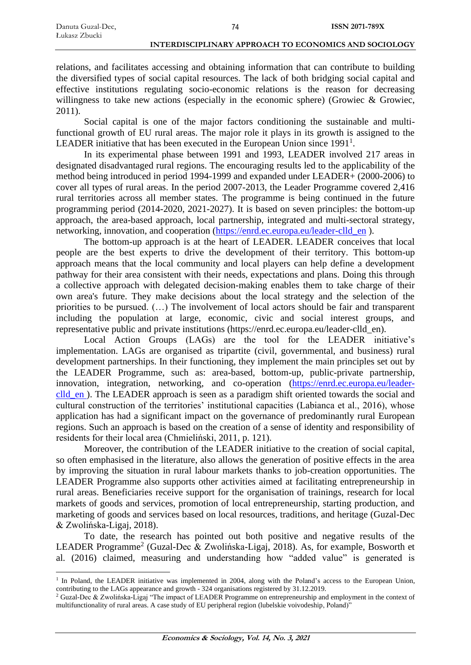relations, and facilitates accessing and obtaining information that can contribute to building the diversified types of social capital resources. The lack of both bridging social capital and effective institutions regulating socio-economic relations is the reason for decreasing willingness to take new actions (especially in the economic sphere) (Growiec & Growiec, 2011).

Social capital is one of the major factors conditioning the sustainable and multifunctional growth of EU rural areas. The major role it plays in its growth is assigned to the LEADER initiative that has been executed in the European Union since  $1991<sup>1</sup>$ .

In its experimental phase between 1991 and 1993, LEADER involved 217 areas in designated disadvantaged rural regions. The encouraging results led to the applicability of the method being introduced in period 1994-1999 and expanded under LEADER+ (2000-2006) to cover all types of rural areas. In the period 2007-2013, the Leader Programme covered 2,416 rural territories across all member states. The programme is being continued in the future programming period (2014-2020, 2021-2027). It is based on seven principles: the bottom-up approach, the area-based approach, local partnership, integrated and multi-sectoral strategy, networking, innovation, and cooperation [\(https://enrd.ec.europa.eu/leader-clld\\_en](https://enrd.ec.europa.eu/leader-clld_en) ).

The bottom-up approach is at the heart of LEADER. LEADER conceives that local people are the best experts to drive the development of their territory. This bottom-up approach means that the local community and local players can help define a development pathway for their area consistent with their needs, expectations and plans. Doing this through a collective approach with delegated decision-making enables them to take charge of their own area's future. They make decisions about the local strategy and the selection of the priorities to be pursued. (…) The involvement of local actors should be fair and transparent including the population at large, economic, civic and social interest groups, and representative public and private institutions (https://enrd.ec.europa.eu/leader-clld\_en).

Local Action Groups (LAGs) are the tool for the LEADER initiative's implementation. LAGs are organised as tripartite (civil, governmental, and business) rural development partnerships. In their functioning, they implement the main principles set out by the LEADER Programme, such as: area-based, bottom-up, public-private partnership, innovation, integration, networking, and co-operation [\(https://enrd.ec.europa.eu/leader](https://enrd.ec.europa.eu/leader-clld_en)clld en ). The LEADER approach is seen as a paradigm shift oriented towards the social and cultural construction of the territories' institutional capacities (Labianca et al., 2016), whose application has had a significant impact on the governance of predominantly rural European regions. Such an approach is based on the creation of a sense of identity and responsibility of residents for their local area (Chmieliński, 2011, p. 121).

Moreover, the contribution of the LEADER initiative to the creation of social capital, so often emphasised in the literature, also allows the generation of positive effects in the area by improving the situation in rural labour markets thanks to job-creation opportunities. The LEADER Programme also supports other activities aimed at facilitating entrepreneurship in rural areas. Beneficiaries receive support for the organisation of trainings, research for local markets of goods and services, promotion of local entrepreneurship, starting production, and marketing of goods and services based on local resources, traditions, and heritage (Guzal-Dec & Zwolińska-Ligaj, 2018).

To date, the research has pointed out both positive and negative results of the LEADER Programme<sup>2</sup> (Guzal-Dec & Zwolińska-Ligaj, 2018). As, for example, Bosworth et al. (2016) claimed, measuring and understanding how "added value" is generated is

<sup>&</sup>lt;sup>1</sup> In Poland, the LEADER initiative was implemented in 2004, along with the Poland's access to the European Union, contributing to the LAGs appearance and growth - 324 organisations registered by 31.12.2019.

<sup>2</sup> Guzal-Dec & Zwolińska-Ligaj "The impact of LEADER Programme on entrepreneurship and employment in the context of multifunctionality of rural areas. A case study of EU peripheral region (lubelskie voivodeship, Poland)"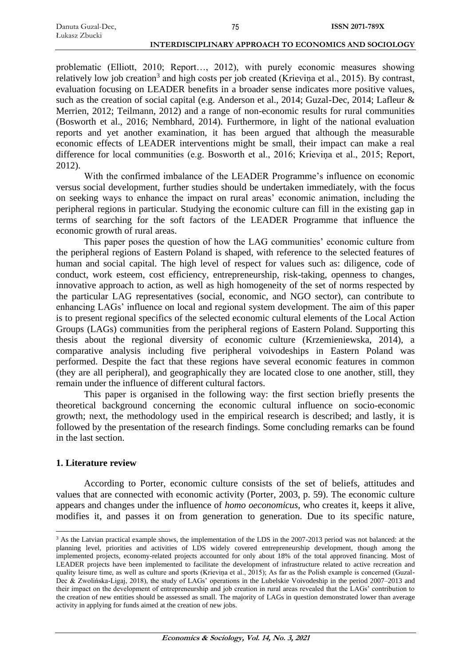| Danuta Guzal-Dec, |  |
|-------------------|--|
| Łukasz Zbucki     |  |

problematic (Elliott, 2010; Report…, 2012), with purely economic measures showing relatively low job creation<sup>3</sup> and high costs per job created (Krieviņa et al., 2015). By contrast, evaluation focusing on LEADER benefits in a broader sense indicates more positive values, such as the creation of social capital (e.g. Anderson et al., 2014; Guzal-Dec, 2014; Lafleur & Merrien, 2012; Teilmann, 2012) and a range of non-economic results for rural communities (Bosworth et al., 2016; Nembhard, 2014). Furthermore, in light of the national evaluation reports and yet another examination, it has been argued that although the measurable economic effects of LEADER interventions might be small, their impact can make a real difference for local communities (e.g. Bosworth et al., 2016; Krieviņa et al., 2015; Report, 2012).

With the confirmed imbalance of the LEADER Programme's influence on economic versus social development, further studies should be undertaken immediately, with the focus on seeking ways to enhance the impact on rural areas' economic animation, including the peripheral regions in particular. Studying the economic culture can fill in the existing gap in terms of searching for the soft factors of the LEADER Programme that influence the economic growth of rural areas.

This paper poses the question of how the LAG communities' economic culture from the peripheral regions of Eastern Poland is shaped, with reference to the selected features of human and social capital. The high level of respect for values such as: diligence, code of conduct, work esteem, cost efficiency, entrepreneurship, risk-taking, openness to changes, innovative approach to action, as well as high homogeneity of the set of norms respected by the particular LAG representatives (social, economic, and NGO sector), can contribute to enhancing LAGs' influence on local and regional system development. The aim of this paper is to present regional specifics of the selected economic cultural elements of the Local Action Groups (LAGs) communities from the peripheral regions of Eastern Poland. Supporting this thesis about the regional diversity of economic culture (Krzemieniewska, 2014), a comparative analysis including five peripheral voivodeships in Eastern Poland was performed. Despite the fact that these regions have several economic features in common (they are all peripheral), and geographically they are located close to one another, still, they remain under the influence of different cultural factors.

This paper is organised in the following way: the first section briefly presents the theoretical background concerning the economic cultural influence on socio-economic growth; next, the methodology used in the empirical research is described; and lastly, it is followed by the presentation of the research findings. Some concluding remarks can be found in the last section.

#### **1. Literature review**

According to Porter, economic culture consists of the set of beliefs, attitudes and values that are connected with economic activity (Porter, 2003, p. 59). The economic culture appears and changes under the influence of *homo oeconomicus*, who creates it, keeps it alive, modifies it, and passes it on from generation to generation. Due to its specific nature,

<sup>&</sup>lt;sup>3</sup> As the Latvian practical example shows, the implementation of the LDS in the 2007-2013 period was not balanced: at the planning level, priorities and activities of LDS widely covered entrepreneurship development, though among the implemented projects, economy-related projects accounted for only about 18% of the total approved financing. Most of LEADER projects have been implemented to facilitate the development of infrastructure related to active recreation and quality leisure time, as well as culture and sports (Krieviņa et al., 2015); As far as the Polish example is concerned (Guzal-Dec & Zwolińska-Ligaj, 2018), the study of LAGs' operations in the Lubelskie Voivodeship in the period 2007–2013 and their impact on the development of entrepreneurship and job creation in rural areas revealed that the LAGs' contribution to the creation of new entities should be assessed as small. The majority of LAGs in question demonstrated lower than average activity in applying for funds aimed at the creation of new jobs.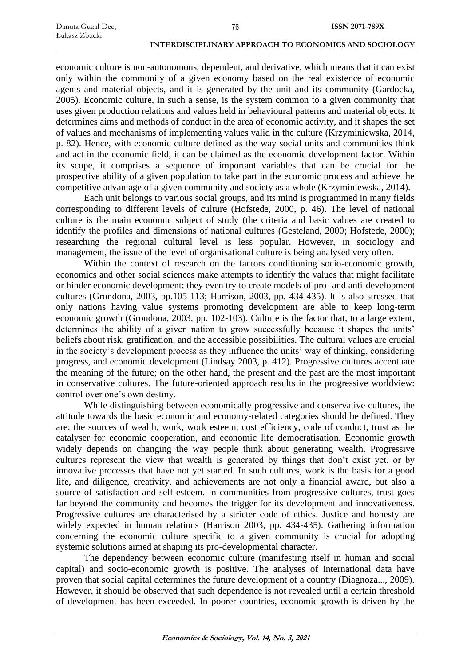economic culture is non-autonomous, dependent, and derivative, which means that it can exist only within the community of a given economy based on the real existence of economic agents and material objects, and it is generated by the unit and its community (Gardocka, 2005). Economic culture, in such a sense, is the system common to a given community that uses given production relations and values held in behavioural patterns and material objects. It determines aims and methods of conduct in the area of economic activity, and it shapes the set of values and mechanisms of implementing values valid in the culture (Krzyminiewska, 2014, p. 82). Hence, with economic culture defined as the way social units and communities think and act in the economic field, it can be claimed as the economic development factor. Within its scope, it comprises a sequence of important variables that can be crucial for the prospective ability of a given population to take part in the economic process and achieve the competitive advantage of a given community and society as a whole (Krzyminiewska, 2014).

Each unit belongs to various social groups, and its mind is programmed in many fields corresponding to different levels of culture (Hofstede, 2000, p. 46). The level of national culture is the main economic subject of study (the criteria and basic values are created to identify the profiles and dimensions of national cultures (Gesteland, 2000; Hofstede, 2000); researching the regional cultural level is less popular. However, in sociology and management, the issue of the level of organisational culture is being analysed very often.

Within the context of research on the factors conditioning socio-economic growth, economics and other social sciences make attempts to identify the values that might facilitate or hinder economic development; they even try to create models of pro- and anti-development cultures (Grondona, 2003, pp.105-113; Harrison, 2003, pp. 434-435). It is also stressed that only nations having value systems promoting development are able to keep long-term economic growth (Grondona, 2003, pp. 102-103). Culture is the factor that, to a large extent, determines the ability of a given nation to grow successfully because it shapes the units' beliefs about risk, gratification, and the accessible possibilities. The cultural values are crucial in the society's development process as they influence the units' way of thinking, considering progress, and economic development (Lindsay 2003, p. 412). Progressive cultures accentuate the meaning of the future; on the other hand, the present and the past are the most important in conservative cultures. The future-oriented approach results in the progressive worldview: control over one's own destiny.

While distinguishing between economically progressive and conservative cultures, the attitude towards the basic economic and economy-related categories should be defined. They are: the sources of wealth, work, work esteem, cost efficiency, code of conduct, trust as the catalyser for economic cooperation, and economic life democratisation. Economic growth widely depends on changing the way people think about generating wealth. Progressive cultures represent the view that wealth is generated by things that don't exist yet, or by innovative processes that have not yet started. In such cultures, work is the basis for a good life, and diligence, creativity, and achievements are not only a financial award, but also a source of satisfaction and self-esteem. In communities from progressive cultures, trust goes far beyond the community and becomes the trigger for its development and innovativeness. Progressive cultures are characterised by a stricter code of ethics. Justice and honesty are widely expected in human relations (Harrison 2003, pp. 434-435). Gathering information concerning the economic culture specific to a given community is crucial for adopting systemic solutions aimed at shaping its pro-developmental character.

The dependency between economic culture (manifesting itself in human and social capital) and socio-economic growth is positive. The analyses of international data have proven that social capital determines the future development of a country (Diagnoza..., 2009). However, it should be observed that such dependence is not revealed until a certain threshold of development has been exceeded. In poorer countries, economic growth is driven by the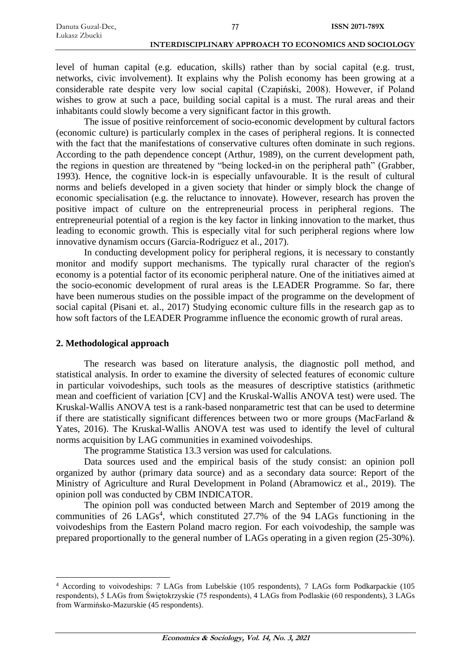level of human capital (e.g. education, skills) rather than by social capital (e.g. trust, networks, civic involvement). It explains why the Polish economy has been growing at a considerable rate despite very low social capital (Czapiński, 2008). However, if Poland wishes to grow at such a pace, building social capital is a must. The rural areas and their inhabitants could slowly become a very significant factor in this growth.

The issue of positive reinforcement of socio-economic development by cultural factors (economic culture) is particularly complex in the cases of peripheral regions. It is connected with the fact that the manifestations of conservative cultures often dominate in such regions. According to the path dependence concept (Arthur, 1989), on the current development path, the regions in question are threatened by "being locked-in on the peripheral path" (Grabber, 1993). Hence, the cognitive lock-in is especially unfavourable. It is the result of cultural norms and beliefs developed in a given society that hinder or simply block the change of economic specialisation (e.g. the reluctance to innovate). However, research has proven the positive impact of culture on the entrepreneurial process in peripheral regions. The entrepreneurial potential of a region is the key factor in linking innovation to the market, thus leading to economic growth. This is especially vital for such peripheral regions where low innovative dynamism occurs [\(García-Rodríguez](https://www.tandfonline.com/author/Garc%C3%ADa-Rodr%C3%ADguez%2C+Francisco+J) et al., 2017).

In conducting development policy for peripheral regions, it is necessary to constantly monitor and modify support mechanisms. The typically rural character of the region's economy is a potential factor of its economic peripheral nature. One of the initiatives aimed at the socio-economic development of rural areas is the LEADER Programme. So far, there have been numerous studies on the possible impact of the programme on the development of social capital (Pisani et. al., 2017) Studying economic culture fills in the research gap as to how soft factors of the LEADER Programme influence the economic growth of rural areas.

#### **2. Methodological approach**

The research was based on literature analysis, the diagnostic poll method, and statistical analysis. In order to examine the diversity of selected features of economic culture in particular voivodeships, such tools as the measures of descriptive statistics (arithmetic mean and coefficient of variation [CV] and the Kruskal-Wallis ANOVA test) were used. The Kruskal-Wallis ANOVA test is a rank-based nonparametric test that can be used to determine if there are statistically significant differences between two or more groups (MacFarland & Yates, 2016). The Kruskal-Wallis ANOVA test was used to identify the level of cultural norms acquisition by LAG communities in examined voivodeships.

The programme Statistica 13.3 version was used for calculations.

Data sources used and the empirical basis of the study consist: an opinion poll organized by author (primary data source) and as a secondary data source: Report of the Ministry of Agriculture and Rural Development in Poland (Abramowicz et al., 2019). The opinion poll was conducted by CBM INDICATOR.

The opinion poll was conducted between March and September of 2019 among the communities of 26 LAGs<sup>4</sup>, which constituted 27.7% of the 94 LAGs functioning in the voivodeships from the Eastern Poland macro region. For each voivodeship, the sample was prepared proportionally to the general number of LAGs operating in a given region (25-30%).

<sup>4</sup> According to voivodeships: 7 LAGs from Lubelskie (105 respondents), 7 LAGs form Podkarpackie (105 respondents), 5 LAGs from Świętokrzyskie (75 respondents), 4 LAGs from Podlaskie (60 respondents), 3 LAGs from Warmińsko-Mazurskie (45 respondents).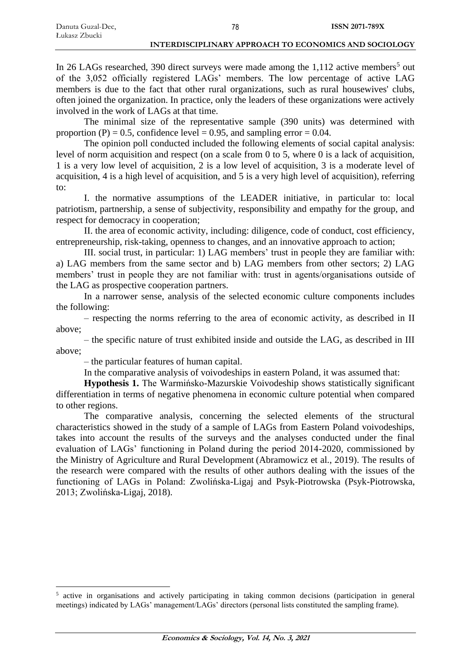In 26 LAGs researched, 390 direct surveys were made among the  $1,112$  active members<sup>5</sup> out of the 3,052 officially registered LAGs' members. The low percentage of active LAG members is due to the fact that other rural organizations, such as rural housewives' clubs, often joined the organization. In practice, only the leaders of these organizations were actively involved in the work of LAGs at that time.

The minimal size of the representative sample (390 units) was determined with proportion (P) = 0.5, confidence level = 0.95, and sampling error = 0.04.

The opinion poll conducted included the following elements of social capital analysis: level of norm acquisition and respect (on a scale from 0 to 5, where 0 is a lack of acquisition, 1 is a very low level of acquisition, 2 is a low level of acquisition, 3 is a moderate level of acquisition, 4 is a high level of acquisition, and 5 is a very high level of acquisition), referring to:

I. the normative assumptions of the LEADER initiative, in particular to: local patriotism, partnership, a sense of subjectivity, responsibility and empathy for the group, and respect for democracy in cooperation;

II. the area of economic activity, including: diligence, code of conduct, cost efficiency, entrepreneurship, risk-taking, openness to changes, and an innovative approach to action;

III. social trust, in particular: 1) LAG members' trust in people they are familiar with: a) LAG members from the same sector and b) LAG members from other sectors; 2) LAG members' trust in people they are not familiar with: trust in agents/organisations outside of the LAG as prospective cooperation partners.

In a narrower sense, analysis of the selected economic culture components includes the following:

– respecting the norms referring to the area of economic activity, as described in II above;

– the specific nature of trust exhibited inside and outside the LAG, as described in III above;

– the particular features of human capital.

In the comparative analysis of voivodeships in eastern Poland, it was assumed that:

**Hypothesis 1.** The Warmińsko-Mazurskie Voivodeship shows statistically significant differentiation in terms of negative phenomena in economic culture potential when compared to other regions.

The comparative analysis, concerning the selected elements of the structural characteristics showed in the study of a sample of LAGs from Eastern Poland voivodeships, takes into account the results of the surveys and the analyses conducted under the final evaluation of LAGs' functioning in Poland during the period 2014-2020, commissioned by the Ministry of Agriculture and Rural Development (Abramowicz et al., 2019). The results of the research were compared with the results of other authors dealing with the issues of the functioning of LAGs in Poland: Zwolińska-Ligaj and Psyk-Piotrowska (Psyk-Piotrowska, 2013; Zwolińska-Ligaj, 2018).

<sup>&</sup>lt;sup>5</sup> active in organisations and actively participating in taking common decisions (participation in general meetings) indicated by LAGs' management/LAGs' directors (personal lists constituted the sampling frame).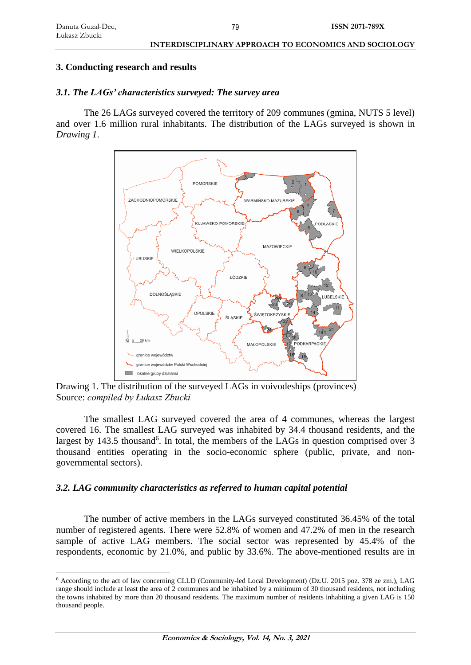#### **3. Conducting research and results**

## *3.1. The LAGs' characteristics surveyed: The survey area*

The 26 LAGs surveyed covered the territory of 209 communes (gmina, NUTS 5 level) and over 1.6 million rural inhabitants. The distribution of the LAGs surveyed is shown in *Drawing 1*.



Drawing 1. The distribution of the surveyed LAGs in voivodeships (provinces) Source: *compiled by Łukasz Zbucki*

The smallest LAG surveyed covered the area of 4 communes, whereas the largest covered 16. The smallest LAG surveyed was inhabited by 34.4 thousand residents, and the largest by 143.5 thousand<sup>6</sup>. In total, the members of the LAGs in question comprised over 3 thousand entities operating in the socio-economic sphere (public, private, and nongovernmental sectors).

## *3.2. LAG community characteristics as referred to human capital potential*

The number of active members in the LAGs surveyed constituted 36.45% of the total number of registered agents. There were 52.8% of women and 47.2% of men in the research sample of active LAG members. The social sector was represented by 45.4% of the respondents, economic by 21.0%, and public by 33.6%. The above-mentioned results are in

<sup>6</sup> According to the act of law concerning CLLD (Community-led Local Development) (Dz.U. 2015 poz. 378 ze zm.), LAG range should include at least the area of 2 communes and be inhabited by a minimum of 30 thousand residents, not including the towns inhabited by more than 20 thousand residents. The maximum number of residents inhabiting a given LAG is 150 thousand people.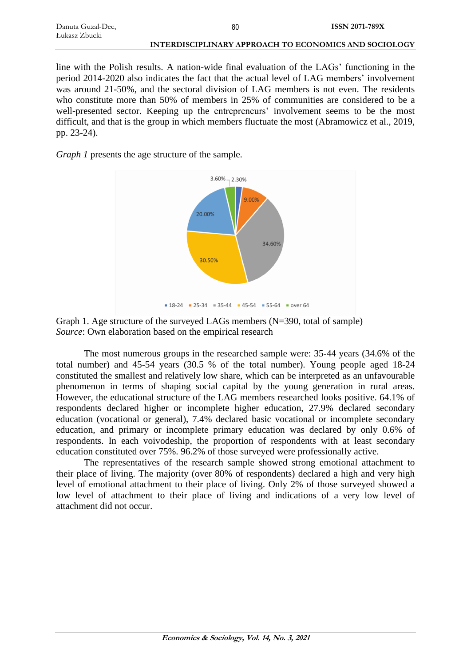| Danuta Guzal-Dec, | 80                                                    | <b>ISSN 2071-789X</b> |
|-------------------|-------------------------------------------------------|-----------------------|
| Łukasz Zbucki     |                                                       |                       |
|                   | INTERDISCIPLINARY APPROACH TO ECONOMICS AND SOCIOLOGY |                       |

line with the Polish results. A nation-wide final evaluation of the LAGs' functioning in the period 2014-2020 also indicates the fact that the actual level of LAG members' involvement was around 21-50%, and the sectoral division of LAG members is not even. The residents who constitute more than 50% of members in 25% of communities are considered to be a well-presented sector. Keeping up the entrepreneurs' involvement seems to be the most difficult, and that is the group in which members fluctuate the most (Abramowicz et al., 2019, pp. 23-24).

*Graph 1* presents the age structure of the sample.



Graph 1. Age structure of the surveyed LAGs members (N=390, total of sample) *Source*: Own elaboration based on the empirical research

The most numerous groups in the researched sample were: 35-44 years (34.6% of the total number) and 45-54 years (30.5 % of the total number). Young people aged 18-24 constituted the smallest and relatively low share, which can be interpreted as an unfavourable phenomenon in terms of shaping social capital by the young generation in rural areas. However, the educational structure of the LAG members researched looks positive. 64.1% of respondents declared higher or incomplete higher education, 27.9% declared secondary education (vocational or general), 7.4% declared basic vocational or incomplete secondary education, and primary or incomplete primary education was declared by only 0.6% of respondents. In each voivodeship, the proportion of respondents with at least secondary education constituted over 75%. 96.2% of those surveyed were professionally active.

The representatives of the research sample showed strong emotional attachment to their place of living. The majority (over 80% of respondents) declared a high and very high level of emotional attachment to their place of living. Only 2% of those surveyed showed a low level of attachment to their place of living and indications of a very low level of attachment did not occur.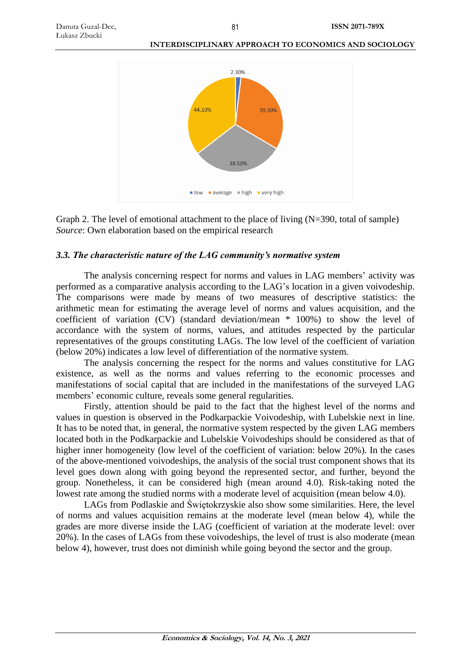

Graph 2. The level of emotional attachment to the place of living (N=390, total of sample) *Source*: Own elaboration based on the empirical research

#### *3.3. The characteristic nature of the LAG community's normative system*

The analysis concerning respect for norms and values in LAG members' activity was performed as a comparative analysis according to the LAG's location in a given voivodeship. The comparisons were made by means of two measures of descriptive statistics: the arithmetic mean for estimating the average level of norms and values acquisition, and the coefficient of variation (CV) (standard deviation/mean \* 100%) to show the level of accordance with the system of norms, values, and attitudes respected by the particular representatives of the groups constituting LAGs. The low level of the coefficient of variation (below 20%) indicates a low level of differentiation of the normative system.

The analysis concerning the respect for the norms and values constitutive for LAG existence, as well as the norms and values referring to the economic processes and manifestations of social capital that are included in the manifestations of the surveyed LAG members' economic culture, reveals some general regularities.

Firstly, attention should be paid to the fact that the highest level of the norms and values in question is observed in the Podkarpackie Voivodeship, with Lubelskie next in line. It has to be noted that, in general, the normative system respected by the given LAG members located both in the Podkarpackie and Lubelskie Voivodeships should be considered as that of higher inner homogeneity (low level of the coefficient of variation: below 20%). In the cases of the above-mentioned voivodeships, the analysis of the social trust component shows that its level goes down along with going beyond the represented sector, and further, beyond the group. Nonetheless, it can be considered high (mean around 4.0). Risk-taking noted the lowest rate among the studied norms with a moderate level of acquisition (mean below 4.0).

LAGs from Podlaskie and Świętokrzyskie also show some similarities. Here, the level of norms and values acquisition remains at the moderate level (mean below 4), while the grades are more diverse inside the LAG (coefficient of variation at the moderate level: over 20%). In the cases of LAGs from these voivodeships, the level of trust is also moderate (mean below 4), however, trust does not diminish while going beyond the sector and the group.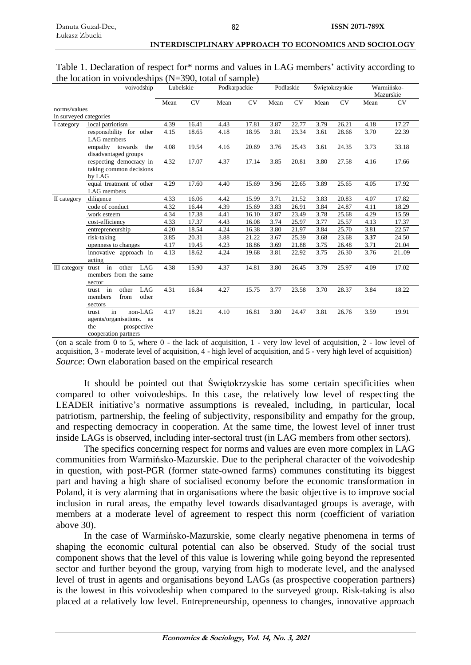| Table 1. Declaration of respect for* norms and values in LAG members' activity according to |  |
|---------------------------------------------------------------------------------------------|--|
| the location in voivodeships $(N=390, \text{ total of sample})$                             |  |

| voivodship             |                                                                                                  | Lubelskie |       | Podkarpackie |       | Podlaskie |           | Swiętokrzyskie |       | Warmińsko- |           |
|------------------------|--------------------------------------------------------------------------------------------------|-----------|-------|--------------|-------|-----------|-----------|----------------|-------|------------|-----------|
|                        |                                                                                                  |           |       |              |       |           |           |                |       |            | Mazurskie |
|                        |                                                                                                  | Mean      | CV    | Mean         | CV    | Mean      | <b>CV</b> | Mean           | CV    | Mean       | CV        |
| norms/values           |                                                                                                  |           |       |              |       |           |           |                |       |            |           |
| in surveyed categories |                                                                                                  |           |       |              |       |           |           |                |       |            |           |
| I category             | local patriotism                                                                                 | 4.39      | 16.41 | 4.43         | 17.81 | 3.87      | 22.77     | 3.79           | 26.21 | 4.18       | 17.27     |
|                        | responsibility for other<br>LAG members                                                          | 4.15      | 18.65 | 4.18         | 18.95 | 3.81      | 23.34     | 3.61           | 28.66 | 3.70       | 22.39     |
|                        | towards<br>the<br>empathy<br>disadvantaged groups                                                | 4.08      | 19.54 | 4.16         | 20.69 | 3.76      | 25.43     | 3.61           | 24.35 | 3.73       | 33.18     |
|                        | respecting democracy in<br>taking common decisions<br>by LAG                                     | 4.32      | 17.07 | 4.37         | 17.14 | 3.85      | 20.81     | 3.80           | 27.58 | 4.16       | 17.66     |
|                        | equal treatment of other<br><b>LAG</b> members                                                   | 4.29      | 17.60 | 4.40         | 15.69 | 3.96      | 22.65     | 3.89           | 25.65 | 4.05       | 17.92     |
| II category            | diligence                                                                                        | 4.33      | 16.06 | 4.42         | 15.99 | 3.71      | 21.52     | 3.83           | 20.83 | 4.07       | 17.82     |
|                        | code of conduct                                                                                  | 4.32      | 16.44 | 4.39         | 15.69 | 3.83      | 26.91     | 3.84           | 24.87 | 4.11       | 18.29     |
|                        | work esteem                                                                                      | 4.34      | 17.38 | 4.41         | 16.10 | 3.87      | 23.49     | 3.78           | 25.68 | 4.29       | 15.59     |
|                        | cost-efficiency                                                                                  | 4.33      | 17.37 | 4.43         | 16.08 | 3.74      | 25.97     | 3.77           | 25.57 | 4.13       | 17.37     |
|                        | entrepreneurship                                                                                 | 4.20      | 18.54 | 4.24         | 16.38 | 3.80      | 21.97     | 3.84           | 25.70 | 3.81       | 22.57     |
|                        | risk-taking                                                                                      | 3.85      | 20.31 | 3.88         | 21.22 | 3.67      | 25.39     | 3.68           | 23.68 | 3.37       | 24.50     |
|                        | openness to changes                                                                              | 4.17      | 19.45 | 4.23         | 18.86 | 3.69      | 21.88     | 3.75           | 26.48 | 3.71       | 21.04     |
|                        | innovative approach in<br>acting                                                                 | 4.13      | 18.62 | 4.24         | 19.68 | 3.81      | 22.92     | 3.75           | 26.30 | 3.76       | 2109      |
| III category           | other<br>in<br>LAG<br>trust<br>members from the same<br>sector                                   | 4.38      | 15.90 | 4.37         | 14.81 | 3.80      | 26.45     | 3.79           | 25.97 | 4.09       | 17.02     |
|                        | in<br>LAG<br>other<br>trust<br>from<br>other<br>members<br>sectors                               | 4.31      | 16.84 | 4.27         | 15.75 | 3.77      | 23.58     | 3.70           | 28.37 | 3.84       | 18.22     |
|                        | non-LAG<br>in<br>trust<br>agents/organisations. as<br>the<br>prospective<br>cooperation partners | 4.17      | 18.21 | 4.10         | 16.81 | 3.80      | 24.47     | 3.81           | 26.76 | 3.59       | 19.91     |

(on a scale from 0 to 5, where 0 - the lack of acquisition, 1 - very low level of acquisition, 2 - low level of acquisition, 3 - moderate level of acquisition, 4 - high level of acquisition, and 5 - very high level of acquisition) *Source*: Own elaboration based on the empirical research

It should be pointed out that Świętokrzyskie has some certain specificities when compared to other voivodeships. In this case, the relatively low level of respecting the LEADER initiative's normative assumptions is revealed, including, in particular, local patriotism, partnership, the feeling of subjectivity, responsibility and empathy for the group, and respecting democracy in cooperation. At the same time, the lowest level of inner trust inside LAGs is observed, including inter-sectoral trust (in LAG members from other sectors).

The specifics concerning respect for norms and values are even more complex in LAG communities from Warmińsko-Mazurskie. Due to the peripheral character of the voivodeship in question, with post-PGR (former state-owned farms) communes constituting its biggest part and having a high share of socialised economy before the economic transformation in Poland, it is very alarming that in organisations where the basic objective is to improve social inclusion in rural areas, the empathy level towards disadvantaged groups is average, with members at a moderate level of agreement to respect this norm (coefficient of variation above 30).

In the case of Warmińsko-Mazurskie, some clearly negative phenomena in terms of shaping the economic cultural potential can also be observed. Study of the social trust component shows that the level of this value is lowering while going beyond the represented sector and further beyond the group, varying from high to moderate level, and the analysed level of trust in agents and organisations beyond LAGs (as prospective cooperation partners) is the lowest in this voivodeship when compared to the surveyed group. Risk-taking is also placed at a relatively low level. Entrepreneurship, openness to changes, innovative approach

82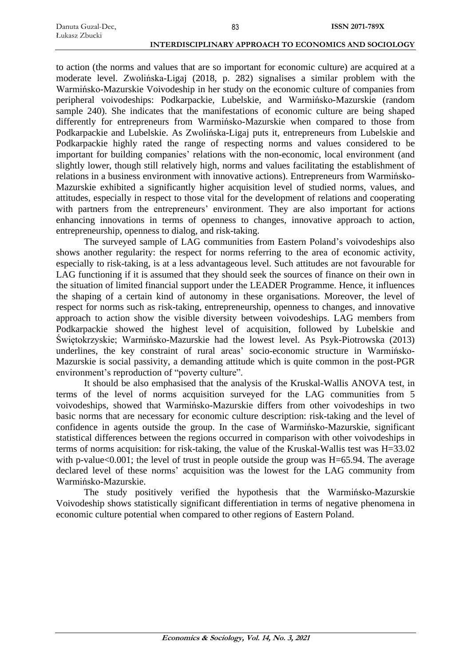to action (the norms and values that are so important for economic culture) are acquired at a moderate level. Zwolińska-Ligaj (2018, p. 282) signalises a similar problem with the Warmińsko-Mazurskie Voivodeship in her study on the economic culture of companies from peripheral voivodeships: Podkarpackie, Lubelskie, and Warmińsko-Mazurskie (random sample 240). She indicates that the manifestations of economic culture are being shaped differently for entrepreneurs from Warmińsko-Mazurskie when compared to those from Podkarpackie and Lubelskie. As Zwolińska-Ligaj puts it, entrepreneurs from Lubelskie and Podkarpackie highly rated the range of respecting norms and values considered to be important for building companies' relations with the non-economic, local environment (and slightly lower, though still relatively high, norms and values facilitating the establishment of relations in a business environment with innovative actions). Entrepreneurs from Warmińsko-Mazurskie exhibited a significantly higher acquisition level of studied norms, values, and attitudes, especially in respect to those vital for the development of relations and cooperating with partners from the entrepreneurs' environment. They are also important for actions enhancing innovations in terms of openness to changes, innovative approach to action, entrepreneurship, openness to dialog, and risk-taking.

83

The surveyed sample of LAG communities from Eastern Poland's voivodeships also shows another regularity: the respect for norms referring to the area of economic activity, especially to risk-taking, is at a less advantageous level. Such attitudes are not favourable for LAG functioning if it is assumed that they should seek the sources of finance on their own in the situation of limited financial support under the LEADER Programme. Hence, it influences the shaping of a certain kind of autonomy in these organisations. Moreover, the level of respect for norms such as risk-taking, entrepreneurship, openness to changes, and innovative approach to action show the visible diversity between voivodeships. LAG members from Podkarpackie showed the highest level of acquisition, followed by Lubelskie and Świętokrzyskie; Warmińsko-Mazurskie had the lowest level. As Psyk-Piotrowska (2013) underlines, the key constraint of rural areas' socio-economic structure in Warmińsko-Mazurskie is social passivity, a demanding attitude which is quite common in the post-PGR environment's reproduction of "poverty culture".

It should be also emphasised that the analysis of the Kruskal-Wallis ANOVA test, in terms of the level of norms acquisition surveyed for the LAG communities from 5 voivodeships, showed that Warmińsko-Mazurskie differs from other voivodeships in two basic norms that are necessary for economic culture description: risk-taking and the level of confidence in agents outside the group. In the case of Warmińsko-Mazurskie, significant statistical differences between the regions occurred in comparison with other voivodeships in terms of norms acquisition: for risk-taking, the value of the Kruskal-Wallis test was H=33.02 with p-value<0.001; the level of trust in people outside the group was H=65.94. The average declared level of these norms' acquisition was the lowest for the LAG community from Warmińsko-Mazurskie.

The study positively verified the hypothesis that the Warmińsko-Mazurskie Voivodeship shows statistically significant differentiation in terms of negative phenomena in economic culture potential when compared to other regions of Eastern Poland.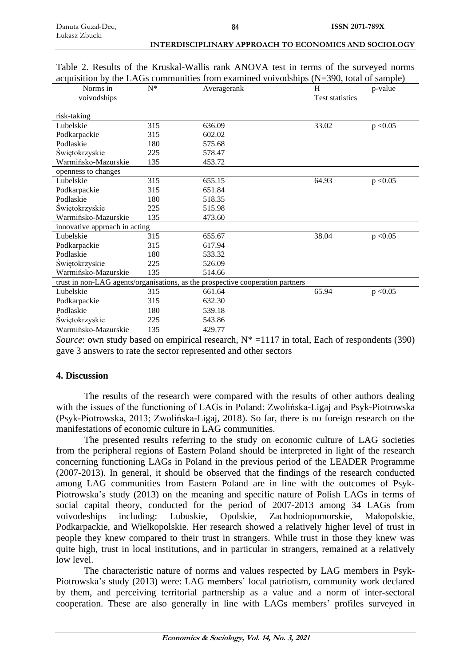| Norms in<br>voivodships       | $N^*$ | Averagerank                                                                    | H<br>Test statistics | p-value  |
|-------------------------------|-------|--------------------------------------------------------------------------------|----------------------|----------|
| risk-taking                   |       |                                                                                |                      |          |
| Lubelskie                     | 315   | 636.09                                                                         | 33.02                | p < 0.05 |
| Podkarpackie                  | 315   | 602.02                                                                         |                      |          |
| Podlaskie                     | 180   | 575.68                                                                         |                      |          |
| Świętokrzyskie                | 225   | 578.47                                                                         |                      |          |
| Warmińsko-Mazurskie           | 135   | 453.72                                                                         |                      |          |
| openness to changes           |       |                                                                                |                      |          |
| Lubelskie                     | 315   | 655.15                                                                         | 64.93                | p < 0.05 |
| Podkarpackie                  | 315   | 651.84                                                                         |                      |          |
| Podlaskie                     | 180   | 518.35                                                                         |                      |          |
| Świętokrzyskie                | 225   | 515.98                                                                         |                      |          |
| Warmińsko-Mazurskie           | 135   | 473.60                                                                         |                      |          |
| innovative approach in acting |       |                                                                                |                      |          |
| Lubelskie                     | 315   | 655.67                                                                         | 38.04                | p < 0.05 |
| Podkarpackie                  | 315   | 617.94                                                                         |                      |          |
| Podlaskie                     | 180   | 533.32                                                                         |                      |          |
| Świętokrzyskie                | 225   | 526.09                                                                         |                      |          |
| Warmińsko-Mazurskie           | 135   | 514.66                                                                         |                      |          |
|                               |       | trust in non-LAG agents/organisations, as the prospective cooperation partners |                      |          |
| Lubelskie                     | 315   | 661.64                                                                         | 65.94                | p < 0.05 |
| Podkarpackie                  | 315   | 632.30                                                                         |                      |          |
| Podlaskie                     | 180   | 539.18                                                                         |                      |          |
| Świętokrzyskie                | 225   | 543.86                                                                         |                      |          |
| Warmińsko-Mazurskie           | 135   | 429.77                                                                         |                      |          |

|  | Table 2. Results of the Kruskal-Wallis rank ANOVA test in terms of the surveyed norms            |  |  |  |  |
|--|--------------------------------------------------------------------------------------------------|--|--|--|--|
|  | acquisition by the LAGs communities from examined voivodships $(N=390, \text{ total of sample})$ |  |  |  |  |

*Source*: own study based on empirical research,  $N^* = 1117$  in total, Each of respondents (390) gave 3 answers to rate the sector represented and other sectors

# **4. Discussion**

The results of the research were compared with the results of other authors dealing with the issues of the functioning of LAGs in Poland: Zwolińska-Ligaj and Psyk-Piotrowska (Psyk-Piotrowska, 2013; Zwolińska-Ligaj, 2018). So far, there is no foreign research on the manifestations of economic culture in LAG communities.

The presented results referring to the study on economic culture of LAG societies from the peripheral regions of Eastern Poland should be interpreted in light of the research concerning functioning LAGs in Poland in the previous period of the LEADER Programme (2007-2013). In general, it should be observed that the findings of the research conducted among LAG communities from Eastern Poland are in line with the outcomes of Psyk-Piotrowska's study (2013) on the meaning and specific nature of Polish LAGs in terms of social capital theory, conducted for the period of 2007-2013 among 34 LAGs from voivodeships including: Lubuskie, Opolskie, Zachodniopomorskie, Małopolskie, Podkarpackie, and Wielkopolskie. Her research showed a relatively higher level of trust in people they knew compared to their trust in strangers. While trust in those they knew was quite high, trust in local institutions, and in particular in strangers, remained at a relatively low level.

The characteristic nature of norms and values respected by LAG members in Psyk-Piotrowska's study (2013) were: LAG members' local patriotism, community work declared by them, and perceiving territorial partnership as a value and a norm of inter-sectoral cooperation. These are also generally in line with LAGs members' profiles surveyed in

**INTERDISCIPLINARY APPROACH TO ECONOMICS AND SOCIOLOGY**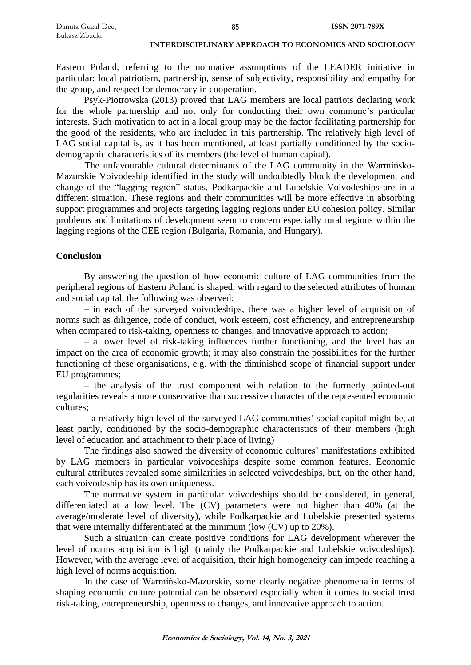85

Eastern Poland, referring to the normative assumptions of the LEADER initiative in particular: local patriotism, partnership, sense of subjectivity, responsibility and empathy for the group, and respect for democracy in cooperation.

Psyk-Piotrowska (2013) proved that LAG members are local patriots declaring work for the whole partnership and not only for conducting their own commune's particular interests. Such motivation to act in a local group may be the factor facilitating partnership for the good of the residents, who are included in this partnership. The relatively high level of LAG social capital is, as it has been mentioned, at least partially conditioned by the sociodemographic characteristics of its members (the level of human capital).

The unfavourable cultural determinants of the LAG community in the Warmińsko-Mazurskie Voivodeship identified in the study will undoubtedly block the development and change of the "lagging region" status. Podkarpackie and Lubelskie Voivodeships are in a different situation. These regions and their communities will be more effective in absorbing support programmes and projects targeting lagging regions under EU cohesion policy. Similar problems and limitations of development seem to concern especially rural regions within the lagging regions of the CEE region (Bulgaria, Romania, and Hungary).

# **Conclusion**

By answering the question of how economic culture of LAG communities from the peripheral regions of Eastern Poland is shaped, with regard to the selected attributes of human and social capital, the following was observed:

– in each of the surveyed voivodeships, there was a higher level of acquisition of norms such as diligence, code of conduct, work esteem, cost efficiency, and entrepreneurship when compared to risk-taking, openness to changes, and innovative approach to action;

– a lower level of risk-taking influences further functioning, and the level has an impact on the area of economic growth; it may also constrain the possibilities for the further functioning of these organisations, e.g. with the diminished scope of financial support under EU programmes;

– the analysis of the trust component with relation to the formerly pointed-out regularities reveals a more conservative than successive character of the represented economic cultures;

– a relatively high level of the surveyed LAG communities' social capital might be, at least partly, conditioned by the socio-demographic characteristics of their members (high level of education and attachment to their place of living)

The findings also showed the diversity of economic cultures' manifestations exhibited by LAG members in particular voivodeships despite some common features. Economic cultural attributes revealed some similarities in selected voivodeships, but, on the other hand, each voivodeship has its own uniqueness.

The normative system in particular voivodeships should be considered, in general, differentiated at a low level. The (CV) parameters were not higher than 40% (at the average/moderate level of diversity), while Podkarpackie and Lubelskie presented systems that were internally differentiated at the minimum (low (CV) up to 20%).

Such a situation can create positive conditions for LAG development wherever the level of norms acquisition is high (mainly the Podkarpackie and Lubelskie voivodeships). However, with the average level of acquisition, their high homogeneity can impede reaching a high level of norms acquisition.

In the case of Warmińsko-Mazurskie, some clearly negative phenomena in terms of shaping economic culture potential can be observed especially when it comes to social trust risk-taking, entrepreneurship, openness to changes, and innovative approach to action.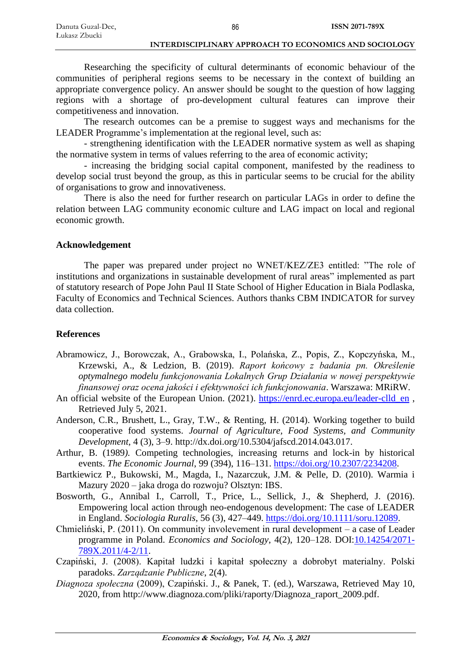Researching the specificity of cultural determinants of economic behaviour of the communities of peripheral regions seems to be necessary in the context of building an appropriate convergence policy. An answer should be sought to the question of how lagging regions with a shortage of pro-development cultural features can improve their competitiveness and innovation.

The research outcomes can be a premise to suggest ways and mechanisms for the LEADER Programme's implementation at the regional level, such as:

- strengthening identification with the LEADER normative system as well as shaping the normative system in terms of values referring to the area of economic activity;

- increasing the bridging social capital component, manifested by the readiness to develop social trust beyond the group, as this in particular seems to be crucial for the ability of organisations to grow and innovativeness.

There is also the need for further research on particular LAGs in order to define the relation between LAG community economic culture and LAG impact on local and regional economic growth.

## **Acknowledgement**

The paper was prepared under project no WNET/KEZ/ZE3 entitled: "The role of institutions and organizations in sustainable development of rural areas" implemented as part of statutory research of Pope John Paul II State School of Higher Education in Biala Podlaska, Faculty of Economics and Technical Sciences. Authors thanks CBM INDICATOR for survey data collection.

## **References**

- Abramowicz, J., Borowczak, A., Grabowska, I., Polańska, Z., Popis, Z., Kopczyńska, M., Krzewski, A., & Ledzion*,* B. (2019). *Raport końcowy z badania pn. Określenie optymalnego modelu funkcjonowania Lokalnych Grup Działania w nowej perspektywie finansowej oraz ocena jakości i efektywności ich funkcjonowania*. Warszawa: MRiRW.
- An official website of the European Union. (2021). [https://enrd.ec.europa.eu/leader-clld\\_en](https://enrd.ec.europa.eu/leader-clld_en) , Retrieved July 5, 2021.
- Anderson, C.R., Brushett, L., Gray, T.W., & Renting, H. (2014). Working together to build cooperative food systems. *Journal of Agriculture, Food Systems, and Community Development,* 4 (3), 3–9. http://dx.doi.org/10.5304/jafscd.2014.043.017.
- Arthur, B. (1989*).* Competing technologies, increasing returns and lock-in by historical events. *The Economic Journal*, 99 (394), 116–131. [https://doi.org/10.2307/2234208.](https://doi.org/10.2307/2234208)
- Bartkiewicz P., Bukowski, M., Magda, I., Nazarczuk, J.M. & Pelle, D. (2010). Warmia i Mazury 2020 – jaka droga do rozwoju? Olsztyn: IBS.
- Bosworth, G., Annibal I., Carroll, T., Price, L., Sellick, J., & Shepherd, J. (2016). Empowering local action through neo-endogenous development: The case of LEADER in England. *Sociologia Ruralis*, 56 (3), 427–449. [https://doi.org/10.1111/soru.12089.](https://doi.org/10.1111/soru.12089)
- Chmieliński, P. (2011). On community involevement in rural development a case of Leader programme in Poland. *Economics and Sociology*, 4(2), 120–128. DOI[:10.14254/2071-](http://dx.doi.org/10.14254/2071-789X.2011/4-2/11) [789X.2011/4-2/11.](http://dx.doi.org/10.14254/2071-789X.2011/4-2/11)
- Czapiński, J. (2008). Kapitał ludzki i kapitał społeczny a dobrobyt materialny. Polski paradoks. *Zarządzanie Publiczne*, 2(4).
- *Diagnoza społeczna* (2009), Czapiński. J., & Panek, T. (ed.), Warszawa, Retrieved May 10, 2020, from http://www.diagnoza.com/pliki/raporty/Diagnoza\_raport\_2009.pdf.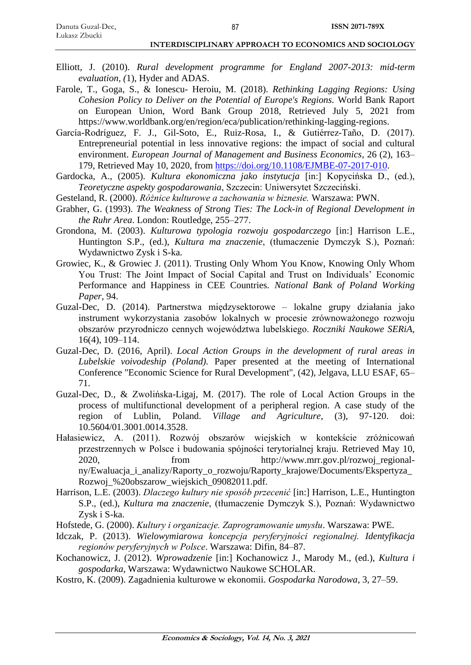- Elliott, J. (2010). *Rural development programme for England 2007-2013: mid-term evaluation, (*1), Hyder and ADAS.
- Farole, T., Goga, S., & Ionescu- Heroiu, M. (2018). *Rethinking Lagging Regions: Using Cohesion Policy to Deliver on the Potential of Europe's Regions.* World Bank Raport on European Union, Word Bank Group 2018, Retrieved July 5, 2021 from https://www.worldbank.org/en/region/eca/publication/rethinking-lagging-regions.
- García-Rodríguez, F. J., Gil-Soto, E., Ruiz-Rosa, I., & Gutiérrez-Taño, D. (2017). Entrepreneurial potential in less innovative regions: the impact of social and cultural environment. *European Journal of Management and Business Economics*, 26 (2), 163– 179, Retrieved May 10, 2020, from [https://doi.org/10.1108/EJMBE-07-2017-010.](https://doi.org/10.1108/EJMBE-07-2017-010)
- Gardocka, A., (2005). *Kultura ekonomiczna jako instytucja* [in:] Kopycińska D., (ed.), *Teoretyczne aspekty gospodarowania*, Szczecin: Uniwersytet Szczeciński.
- Gesteland, R. (2000). *Różnice kulturowe a zachowania w biznesie.* Warszawa: PWN.
- Grabher, G. (1993). *The Weakness of Strong Ties: The Lock-in of Regional Development in the Ruhr Area*. London: Routledge, 255–277.
- Grondona, M. (2003). *Kulturowa typologia rozwoju gospodarczego* [in:] Harrison L.E., Huntington S.P., (ed.), *Kultura ma znaczenie*, (tłumaczenie Dymczyk S.), Poznań: Wydawnictwo Zysk i S-ka.
- Growiec, K., & Growiec J. (2011). Trusting Only Whom You Know, Knowing Only Whom You Trust: The Joint Impact of Social Capital and Trust on Individuals' Economic Performance and Happiness in CEE Countries. *National Bank of Poland Working Paper*, 94.
- Guzal-Dec, D. (2014). Partnerstwa międzysektorowe lokalne grupy działania jako instrument wykorzystania zasobów lokalnych w procesie zrównoważonego rozwoju obszarów przyrodniczo cennych województwa lubelskiego. *Roczniki Naukowe SERiA*, 16(4), 109–114.
- Guzal-Dec, D. (2016, April). *Local Action Groups in the development of rural areas in Lubelskie voivodeship (Poland).* Paper presented at the meeting of International Conference "Economic Science for Rural Development", (42), Jelgava, LLU ESAF, 65– 71.
- Guzal-Dec, D., & Zwolińska-Ligaj, M. (2017). The role of Local Action Groups in the process of multifunctional development of a peripheral region. A case study of the region of Lublin, Poland. *Village and Agriculture*, (3), 97-120. doi: 10.5604/01.3001.0014.3528.
- Hałasiewicz, A. (2011). Rozwój obszarów wiejskich w kontekście zróżnicowań przestrzennych w Polsce i budowania spójności terytorialnej kraju. Retrieved May 10, 2020, from http://www.mrr.gov.pl/rozwoj\_regionalny/Ewaluacja\_i\_analizy/Raporty\_o\_rozwoju/Raporty\_krajowe/Documents/Ekspertyza\_ Rozwoj\_%20obszarow\_wiejskich\_09082011.pdf.
- Harrison, L.E. (2003). *Dlaczego kultury nie sposób przecenić* [in:] Harrison, L.E., Huntington S.P., (ed.), *Kultura ma znaczenie*, (tłumaczenie Dymczyk S.), Poznań: Wydawnictwo Zysk i S-ka.
- Hofstede, G. (2000). *Kultury i organizacje. Zaprogramowanie umysłu*. Warszawa: PWE.
- Idczak, P. (2013). *Wielowymiarowa koncepcja peryferyjności regionalnej. Identyfikacja regionów peryferyjnych w Polsce*. Warszawa: Difin, 84–87.
- Kochanowicz, J. (2012). *Wprowadzenie* [in:] Kochanowicz J., Marody M., (ed.), *Kultura i gospodarka*, Warszawa: Wydawnictwo Naukowe SCHOLAR.
- Kostro, K. (2009). Zagadnienia kulturowe w ekonomii. *Gospodarka Narodowa*, 3, 27–59.